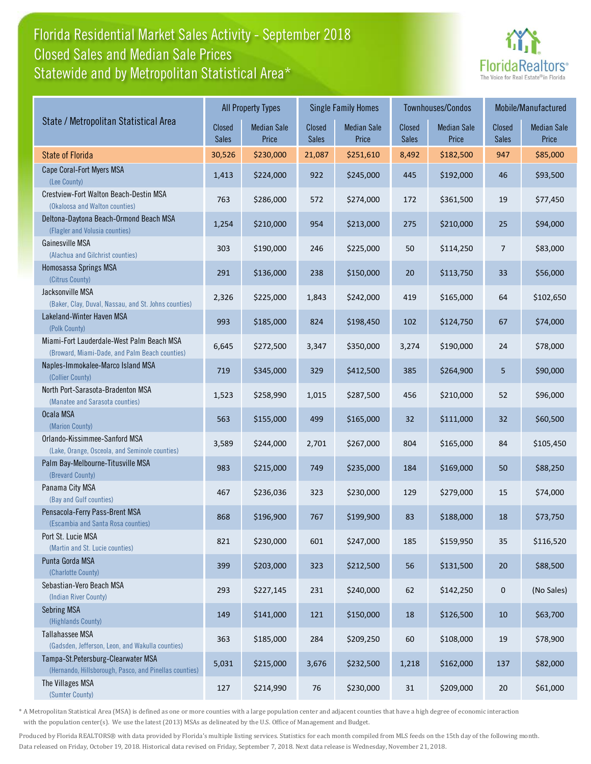## Florida Residential Market Sales Activity - September 2018 Statewide and by Metropolitan Statistical Area\* Closed Sales and Median Sale Prices



|                                                                                              |                        | <b>All Property Types</b>   |                        | <b>Single Family Homes</b>  |                        | Townhouses/Condos           | Mobile/Manufactured    |                             |
|----------------------------------------------------------------------------------------------|------------------------|-----------------------------|------------------------|-----------------------------|------------------------|-----------------------------|------------------------|-----------------------------|
| State / Metropolitan Statistical Area                                                        | Closed<br><b>Sales</b> | <b>Median Sale</b><br>Price | Closed<br><b>Sales</b> | <b>Median Sale</b><br>Price | Closed<br><b>Sales</b> | <b>Median Sale</b><br>Price | Closed<br><b>Sales</b> | <b>Median Sale</b><br>Price |
| <b>State of Florida</b>                                                                      | 30,526                 | \$230,000                   | 21,087                 | \$251,610                   | 8,492                  | \$182,500                   | 947                    | \$85,000                    |
| Cape Coral-Fort Myers MSA<br>(Lee County)                                                    | 1,413                  | \$224,000                   | 922                    | \$245,000                   | 445                    | \$192,000                   | 46                     | \$93,500                    |
| Crestview-Fort Walton Beach-Destin MSA<br>(Okaloosa and Walton counties)                     | 763                    | \$286,000                   | 572                    | \$274,000                   | 172                    | \$361,500                   | 19                     | \$77,450                    |
| Deltona-Daytona Beach-Ormond Beach MSA<br>(Flagler and Volusia counties)                     | 1,254                  | \$210,000                   | 954                    | \$213,000                   | 275                    | \$210,000                   | 25                     | \$94,000                    |
| Gainesville MSA<br>(Alachua and Gilchrist counties)                                          | 303                    | \$190,000                   | 246                    | \$225,000                   | 50                     | \$114,250                   | $\overline{7}$         | \$83,000                    |
| Homosassa Springs MSA<br>(Citrus County)                                                     | 291                    | \$136,000                   | 238                    | \$150,000                   | 20                     | \$113,750                   | 33                     | \$56,000                    |
| Jacksonville MSA<br>(Baker, Clay, Duval, Nassau, and St. Johns counties)                     | 2,326                  | \$225,000                   | 1,843                  | \$242,000                   | 419                    | \$165,000                   | 64                     | \$102,650                   |
| Lakeland-Winter Haven MSA<br>(Polk County)                                                   | 993                    | \$185,000                   | 824                    | \$198,450                   | 102                    | \$124,750                   | 67                     | \$74,000                    |
| Miami-Fort Lauderdale-West Palm Beach MSA<br>(Broward, Miami-Dade, and Palm Beach counties)  | 6,645                  | \$272,500                   | 3,347                  | \$350,000                   | 3,274                  | \$190,000                   | 24                     | \$78,000                    |
| Naples-Immokalee-Marco Island MSA<br>(Collier County)                                        | 719                    | \$345,000                   | 329                    | \$412,500                   | 385                    | \$264,900                   | 5                      | \$90,000                    |
| North Port-Sarasota-Bradenton MSA<br>(Manatee and Sarasota counties)                         | 1,523                  | \$258,990                   | 1,015                  | \$287,500                   | 456                    | \$210,000                   | 52                     | \$96,000                    |
| Ocala MSA<br>(Marion County)                                                                 | 563                    | \$155,000                   | 499                    | \$165,000                   | 32                     | \$111,000                   | 32                     | \$60,500                    |
| Orlando-Kissimmee-Sanford MSA<br>(Lake, Orange, Osceola, and Seminole counties)              | 3,589                  | \$244,000                   | 2,701                  | \$267,000                   | 804                    | \$165,000                   | 84                     | \$105,450                   |
| Palm Bay-Melbourne-Titusville MSA<br>(Brevard County)                                        | 983                    | \$215,000                   | 749                    | \$235,000                   | 184                    | \$169,000                   | 50                     | \$88,250                    |
| Panama City MSA<br>(Bay and Gulf counties)                                                   | 467                    | \$236,036                   | 323                    | \$230,000                   | 129                    | \$279,000                   | 15                     | \$74,000                    |
| Pensacola-Ferry Pass-Brent MSA<br>(Escambia and Santa Rosa counties)                         | 868                    | \$196,900                   | 767                    | \$199,900                   | 83                     | \$188,000                   | 18                     | \$73,750                    |
| Port St. Lucie MSA<br>(Martin and St. Lucie counties)                                        | 821                    | \$230,000                   | 601                    | \$247,000                   | 185                    | \$159,950                   | 35                     | \$116,520                   |
| Punta Gorda MSA<br>(Charlotte County)                                                        | 399                    | \$203,000                   | 323                    | \$212,500                   | 56                     | \$131,500                   | 20                     | \$88,500                    |
| Sebastian-Vero Beach MSA<br>(Indian River County)                                            | 293                    | \$227,145                   | 231                    | \$240,000                   | 62                     | \$142,250                   | $\pmb{0}$              | (No Sales)                  |
| Sebring MSA<br>(Highlands County)                                                            | 149                    | \$141,000                   | 121                    | \$150,000                   | 18                     | \$126,500                   | 10                     | \$63,700                    |
| Tallahassee MSA<br>(Gadsden, Jefferson, Leon, and Wakulla counties)                          | 363                    | \$185,000                   | 284                    | \$209,250                   | 60                     | \$108,000                   | 19                     | \$78,900                    |
| Tampa-St.Petersburg-Clearwater MSA<br>(Hernando, Hillsborough, Pasco, and Pinellas counties) | 5,031                  | \$215,000                   | 3,676                  | \$232,500                   | 1,218                  | \$162,000                   | 137                    | \$82,000                    |
| The Villages MSA<br>(Sumter County)                                                          | 127                    | \$214,990                   | 76                     | \$230,000                   | 31                     | \$209,000                   | 20                     | \$61,000                    |

\* A Metropolitan Statistical Area (MSA) is defined as one or more counties with a large population center and adjacent counties that have a high degree of economic interaction with the population center(s). We use the latest (2013) MSAs as delineated by the U.S. Office of Management and Budget.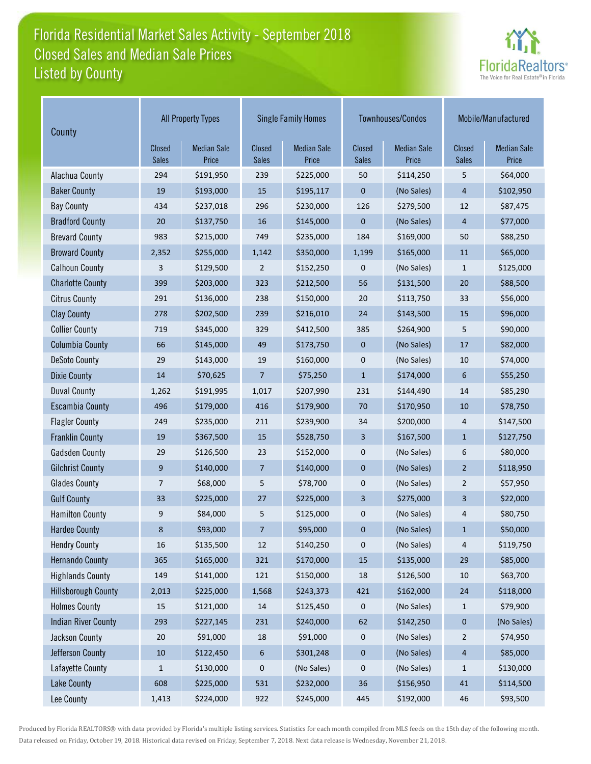# Florida Residential Market Sales Activity - September 2018 Listed by County Closed Sales and Median Sale Prices



| County                     | <b>All Property Types</b> |                             |                        | <b>Single Family Homes</b>  |                        | Townhouses/Condos           | Mobile/Manufactured    |                             |
|----------------------------|---------------------------|-----------------------------|------------------------|-----------------------------|------------------------|-----------------------------|------------------------|-----------------------------|
|                            | Closed<br><b>Sales</b>    | <b>Median Sale</b><br>Price | Closed<br><b>Sales</b> | <b>Median Sale</b><br>Price | Closed<br><b>Sales</b> | <b>Median Sale</b><br>Price | Closed<br><b>Sales</b> | <b>Median Sale</b><br>Price |
| Alachua County             | 294                       | \$191,950                   | 239                    | \$225,000                   | 50                     | \$114,250                   | 5                      | \$64,000                    |
| <b>Baker County</b>        | 19                        | \$193,000                   | 15                     | \$195,117                   | 0                      | (No Sales)                  | 4                      | \$102,950                   |
| <b>Bay County</b>          | 434                       | \$237,018                   | 296                    | \$230,000                   | 126                    | \$279,500                   | 12                     | \$87,475                    |
| <b>Bradford County</b>     | 20                        | \$137,750                   | 16                     | \$145,000                   | $\mathbf 0$            | (No Sales)                  | 4                      | \$77,000                    |
| <b>Brevard County</b>      | 983                       | \$215,000                   | 749                    | \$235,000                   | 184                    | \$169,000                   | 50                     | \$88,250                    |
| <b>Broward County</b>      | 2,352                     | \$255,000                   | 1,142                  | \$350,000                   | 1,199                  | \$165,000                   | 11                     | \$65,000                    |
| <b>Calhoun County</b>      | 3                         | \$129,500                   | $\overline{2}$         | \$152,250                   | 0                      | (No Sales)                  | $\mathbf{1}$           | \$125,000                   |
| <b>Charlotte County</b>    | 399                       | \$203,000                   | 323                    | \$212,500                   | 56                     | \$131,500                   | 20                     | \$88,500                    |
| <b>Citrus County</b>       | 291                       | \$136,000                   | 238                    | \$150,000                   | 20                     | \$113,750                   | 33                     | \$56,000                    |
| <b>Clay County</b>         | 278                       | \$202,500                   | 239                    | \$216,010                   | 24                     | \$143,500                   | 15                     | \$96,000                    |
| <b>Collier County</b>      | 719                       | \$345,000                   | 329                    | \$412,500                   | 385                    | \$264,900                   | 5                      | \$90,000                    |
| <b>Columbia County</b>     | 66                        | \$145,000                   | 49                     | \$173,750                   | $\mathbf 0$            | (No Sales)                  | 17                     | \$82,000                    |
| <b>DeSoto County</b>       | 29                        | \$143,000                   | 19                     | \$160,000                   | 0                      | (No Sales)                  | 10                     | \$74,000                    |
| <b>Dixie County</b>        | 14                        | \$70,625                    | $\overline{7}$         | \$75,250                    | $\mathbf{1}$           | \$174,000                   | 6                      | \$55,250                    |
| <b>Duval County</b>        | 1,262                     | \$191,995                   | 1,017                  | \$207,990                   | 231                    | \$144,490                   | 14                     | \$85,290                    |
| <b>Escambia County</b>     | 496                       | \$179,000                   | 416                    | \$179,900                   | 70                     | \$170,950                   | 10                     | \$78,750                    |
| <b>Flagler County</b>      | 249                       | \$235,000                   | 211                    | \$239,900                   | 34                     | \$200,000                   | 4                      | \$147,500                   |
| <b>Franklin County</b>     | 19                        | \$367,500                   | 15                     | \$528,750                   | 3                      | \$167,500                   | $\mathbf{1}$           | \$127,750                   |
| <b>Gadsden County</b>      | 29                        | \$126,500                   | 23                     | \$152,000                   | 0                      | (No Sales)                  | 6                      | \$80,000                    |
| <b>Gilchrist County</b>    | 9                         | \$140,000                   | 7                      | \$140,000                   | $\mathbf 0$            | (No Sales)                  | $\overline{2}$         | \$118,950                   |
| <b>Glades County</b>       | 7                         | \$68,000                    | 5                      | \$78,700                    | 0                      | (No Sales)                  | 2                      | \$57,950                    |
| <b>Gulf County</b>         | 33                        | \$225,000                   | 27                     | \$225,000                   | 3                      | \$275,000                   | 3                      | \$22,000                    |
| <b>Hamilton County</b>     | 9                         | \$84,000                    | 5                      | \$125,000                   | 0                      | (No Sales)                  | 4                      | \$80,750                    |
| <b>Hardee County</b>       | 8                         | \$93,000                    | 7                      | \$95,000                    | 0                      | (No Sales)                  | $\mathbf{1}$           | \$50,000                    |
| <b>Hendry County</b>       | 16                        | \$135,500                   | 12                     | \$140,250                   | 0                      | (No Sales)                  | 4                      | \$119,750                   |
| <b>Hernando County</b>     | 365                       | \$165,000                   | 321                    | \$170,000                   | 15                     | \$135,000                   | 29                     | \$85,000                    |
| <b>Highlands County</b>    | 149                       | \$141,000                   | 121                    | \$150,000                   | 18                     | \$126,500                   | 10                     | \$63,700                    |
| <b>Hillsborough County</b> | 2,013                     | \$225,000                   | 1,568                  | \$243,373                   | 421                    | \$162,000                   | 24                     | \$118,000                   |
| <b>Holmes County</b>       | 15                        | \$121,000                   | 14                     | \$125,450                   | 0                      | (No Sales)                  | $\mathbf{1}$           | \$79,900                    |
| <b>Indian River County</b> | 293                       | \$227,145                   | 231                    | \$240,000                   | 62                     | \$142,250                   | 0                      | (No Sales)                  |
| Jackson County             | $20\,$                    | \$91,000                    | 18                     | \$91,000                    | 0                      | (No Sales)                  | 2                      | \$74,950                    |
| Jefferson County           | $10\,$                    | \$122,450                   | 6                      | \$301,248                   | 0                      | (No Sales)                  | 4                      | \$85,000                    |
| Lafayette County           | $\mathbf{1}$              | \$130,000                   | 0                      | (No Sales)                  | 0                      | (No Sales)                  | $\mathbf{1}$           | \$130,000                   |
| <b>Lake County</b>         | 608                       | \$225,000                   | 531                    | \$232,000                   | 36                     | \$156,950                   | 41                     | \$114,500                   |
| Lee County                 | 1,413                     | \$224,000                   | 922                    | \$245,000                   | 445                    | \$192,000                   | 46                     | \$93,500                    |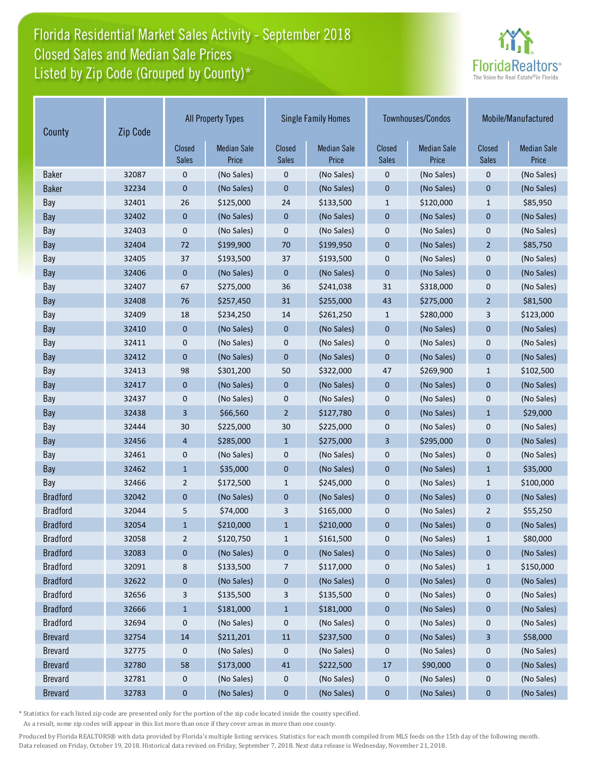## Florida Residential Market Sales Activity - September 2018 Listed by Zip Code (Grouped by County)\* Closed Sales and Median Sale Prices



| Zip Code<br>County |       | <b>All Property Types</b> |                             | <b>Single Family Homes</b>    |                             |                               | Townhouses/Condos           | Mobile/Manufactured           |                             |
|--------------------|-------|---------------------------|-----------------------------|-------------------------------|-----------------------------|-------------------------------|-----------------------------|-------------------------------|-----------------------------|
|                    |       | Closed<br><b>Sales</b>    | <b>Median Sale</b><br>Price | <b>Closed</b><br><b>Sales</b> | <b>Median Sale</b><br>Price | <b>Closed</b><br><b>Sales</b> | <b>Median Sale</b><br>Price | <b>Closed</b><br><b>Sales</b> | <b>Median Sale</b><br>Price |
| <b>Baker</b>       | 32087 | 0                         | (No Sales)                  | 0                             | (No Sales)                  | 0                             | (No Sales)                  | 0                             | (No Sales)                  |
| <b>Baker</b>       | 32234 | 0                         | (No Sales)                  | $\mathbf{0}$                  | (No Sales)                  | $\mathbf 0$                   | (No Sales)                  | $\mathbf 0$                   | (No Sales)                  |
| Bay                | 32401 | 26                        | \$125,000                   | 24                            | \$133,500                   | $\mathbf{1}$                  | \$120,000                   | $\mathbf{1}$                  | \$85,950                    |
| Bay                | 32402 | 0                         | (No Sales)                  | $\mathbf 0$                   | (No Sales)                  | $\mathbf 0$                   | (No Sales)                  | $\mathbf 0$                   | (No Sales)                  |
| Bay                | 32403 | $\mathbf 0$               | (No Sales)                  | 0                             | (No Sales)                  | 0                             | (No Sales)                  | $\mathbf 0$                   | (No Sales)                  |
| Bay                | 32404 | 72                        | \$199,900                   | 70                            | \$199,950                   | $\overline{0}$                | (No Sales)                  | $\overline{2}$                | \$85,750                    |
| Bay                | 32405 | 37                        | \$193,500                   | 37                            | \$193,500                   | $\mathbf 0$                   | (No Sales)                  | $\mathbf 0$                   | (No Sales)                  |
| Bay                | 32406 | $\mathbf 0$               | (No Sales)                  | $\mathbf 0$                   | (No Sales)                  | $\overline{0}$                | (No Sales)                  | $\mathbf{0}$                  | (No Sales)                  |
| Bay                | 32407 | 67                        | \$275,000                   | 36                            | \$241,038                   | 31                            | \$318,000                   | 0                             | (No Sales)                  |
| Bay                | 32408 | 76                        | \$257,450                   | 31                            | \$255,000                   | 43                            | \$275,000                   | $\overline{2}$                | \$81,500                    |
| Bay                | 32409 | 18                        | \$234,250                   | 14                            | \$261,250                   | $\mathbf{1}$                  | \$280,000                   | 3                             | \$123,000                   |
| Bay                | 32410 | $\mathbf 0$               | (No Sales)                  | $\mathbf 0$                   | (No Sales)                  | $\mathbf 0$                   | (No Sales)                  | $\mathbf 0$                   | (No Sales)                  |
| Bay                | 32411 | 0                         | (No Sales)                  | 0                             | (No Sales)                  | 0                             | (No Sales)                  | 0                             | (No Sales)                  |
| Bay                | 32412 | $\mathbf 0$               | (No Sales)                  | $\mathbf{0}$                  | (No Sales)                  | $\mathbf 0$                   | (No Sales)                  | $\mathbf 0$                   | (No Sales)                  |
| Bay                | 32413 | 98                        | \$301,200                   | 50                            | \$322,000                   | 47                            | \$269,900                   | $\mathbf{1}$                  | \$102,500                   |
| Bay                | 32417 | $\mathbf 0$               | (No Sales)                  | $\mathbf 0$                   | (No Sales)                  | $\mathbf 0$                   | (No Sales)                  | $\mathbf 0$                   | (No Sales)                  |
| Bay                | 32437 | 0                         | (No Sales)                  | 0                             | (No Sales)                  | 0                             | (No Sales)                  | 0                             | (No Sales)                  |
| Bay                | 32438 | 3                         | \$66,560                    | $\overline{2}$                | \$127,780                   | $\mathbf 0$                   | (No Sales)                  | $\mathbf{1}$                  | \$29,000                    |
| Bay                | 32444 | 30                        | \$225,000                   | 30                            | \$225,000                   | 0                             | (No Sales)                  | $\mathbf 0$                   | (No Sales)                  |
| Bay                | 32456 | 4                         | \$285,000                   | $\mathbf{1}$                  | \$275,000                   | 3                             | \$295,000                   | $\mathbf{0}$                  | (No Sales)                  |
| Bay                | 32461 | $\mathbf 0$               | (No Sales)                  | 0                             | (No Sales)                  | 0                             | (No Sales)                  | $\mathbf 0$                   | (No Sales)                  |
| Bay                | 32462 | $\mathbf{1}$              | \$35,000                    | $\mathbf 0$                   | (No Sales)                  | $\mathbf 0$                   | (No Sales)                  | $\mathbf{1}$                  | \$35,000                    |
| Bay                | 32466 | 2                         | \$172,500                   | 1                             | \$245,000                   | 0                             | (No Sales)                  | $\mathbf{1}$                  | \$100,000                   |
| <b>Bradford</b>    | 32042 | 0                         | (No Sales)                  | $\bf{0}$                      | (No Sales)                  | $\mathbf 0$                   | (No Sales)                  | $\mathbf{0}$                  | (No Sales)                  |
| <b>Bradford</b>    | 32044 | 5                         | \$74,000                    | 3                             | \$165,000                   | 0                             | (No Sales)                  | $\overline{2}$                | \$55,250                    |
| <b>Bradford</b>    | 32054 | $\mathbf{1}$              | \$210,000                   | $\mathbf{1}$                  | \$210,000                   | 0                             | (No Sales)                  | $\mathbf 0$                   | (No Sales)                  |
| <b>Bradford</b>    | 32058 | $\overline{2}$            | \$120,750                   | $\mathbf{1}$                  | \$161,500                   | $\mathbf 0$                   | (No Sales)                  | $\mathbf{1}$                  | \$80,000                    |
| <b>Bradford</b>    | 32083 | $\bf{0}$                  | (No Sales)                  | $\bf{0}$                      | (No Sales)                  | $\mathbf 0$                   | (No Sales)                  | $\pmb{0}$                     | (No Sales)                  |
| <b>Bradford</b>    | 32091 | 8                         | \$133,500                   | 7                             | \$117,000                   | 0                             | (No Sales)                  | $\mathbf{1}$                  | \$150,000                   |
| <b>Bradford</b>    | 32622 | $\bf{0}$                  | (No Sales)                  | $\bf{0}$                      | (No Sales)                  | $\pmb{0}$                     | (No Sales)                  | $\pmb{0}$                     | (No Sales)                  |
| <b>Bradford</b>    | 32656 | 3                         | \$135,500                   | 3                             | \$135,500                   | 0                             | (No Sales)                  | 0                             | (No Sales)                  |
| <b>Bradford</b>    | 32666 | $\mathbf{1}$              | \$181,000                   | $\mathbf{1}$                  | \$181,000                   | $\pmb{0}$                     | (No Sales)                  | 0                             | (No Sales)                  |
| <b>Bradford</b>    | 32694 | 0                         | (No Sales)                  | 0                             | (No Sales)                  | 0                             | (No Sales)                  | 0                             | (No Sales)                  |
| <b>Brevard</b>     | 32754 | $14\,$                    | \$211,201                   | $11\,$                        | \$237,500                   | $\pmb{0}$                     | (No Sales)                  | 3                             | \$58,000                    |
| <b>Brevard</b>     | 32775 | 0                         | (No Sales)                  | 0                             | (No Sales)                  | 0                             | (No Sales)                  | 0                             | (No Sales)                  |
| <b>Brevard</b>     | 32780 | 58                        | \$173,000                   | $41\,$                        | \$222,500                   | 17                            | \$90,000                    | $\pmb{0}$                     | (No Sales)                  |
| <b>Brevard</b>     | 32781 | $\mathbf 0$               | (No Sales)                  | 0                             | (No Sales)                  | 0                             | (No Sales)                  | 0                             | (No Sales)                  |
| <b>Brevard</b>     | 32783 | $\bf{0}$                  | (No Sales)                  | $\bf{0}$                      | (No Sales)                  | $\mathbf 0$                   | (No Sales)                  | $\bf{0}$                      | (No Sales)                  |

\* Statistics for each listed zip code are presented only for the portion of the zip code located inside the county specified.

As a result, some zip codes will appear in this list more than once if they cover areas in more than one county.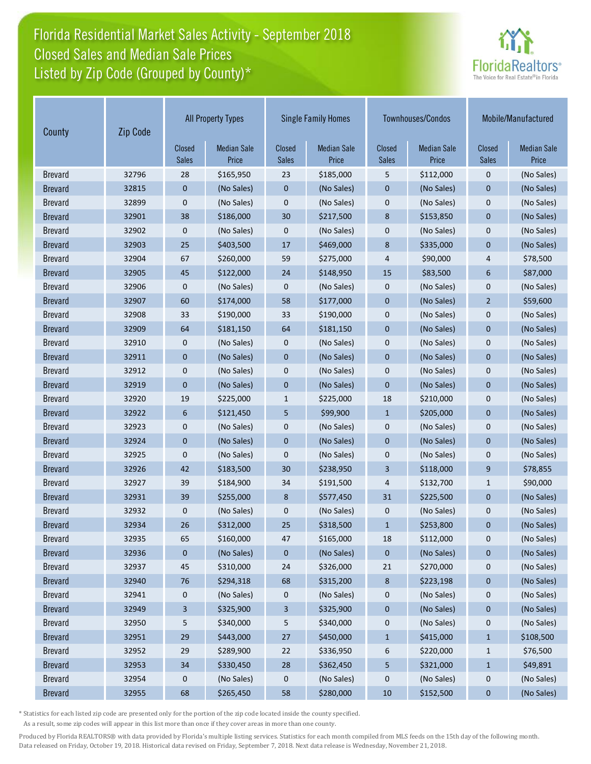# Florida Residential Market Sales Activity - September 2018 Listed by Zip Code (Grouped by County)\* Closed Sales and Median Sale Prices



| County         | Zip Code |                        | <b>All Property Types</b>   |                        | <b>Single Family Homes</b>  |                               | Townhouses/Condos           | Mobile/Manufactured           |                             |
|----------------|----------|------------------------|-----------------------------|------------------------|-----------------------------|-------------------------------|-----------------------------|-------------------------------|-----------------------------|
|                |          | Closed<br><b>Sales</b> | <b>Median Sale</b><br>Price | Closed<br><b>Sales</b> | <b>Median Sale</b><br>Price | <b>Closed</b><br><b>Sales</b> | <b>Median Sale</b><br>Price | <b>Closed</b><br><b>Sales</b> | <b>Median Sale</b><br>Price |
| <b>Brevard</b> | 32796    | 28                     | \$165,950                   | 23                     | \$185,000                   | 5                             | \$112,000                   | $\mathbf 0$                   | (No Sales)                  |
| <b>Brevard</b> | 32815    | 0                      | (No Sales)                  | 0                      | (No Sales)                  | $\mathbf 0$                   | (No Sales)                  | $\mathbf 0$                   | (No Sales)                  |
| <b>Brevard</b> | 32899    | 0                      | (No Sales)                  | 0                      | (No Sales)                  | $\boldsymbol{0}$              | (No Sales)                  | $\mathbf 0$                   | (No Sales)                  |
| <b>Brevard</b> | 32901    | 38                     | \$186,000                   | 30                     | \$217,500                   | 8                             | \$153,850                   | $\mathbf 0$                   | (No Sales)                  |
| <b>Brevard</b> | 32902    | 0                      | (No Sales)                  | 0                      | (No Sales)                  | $\boldsymbol{0}$              | (No Sales)                  | $\mathbf 0$                   | (No Sales)                  |
| <b>Brevard</b> | 32903    | 25                     | \$403,500                   | 17                     | \$469,000                   | 8                             | \$335,000                   | $\overline{0}$                | (No Sales)                  |
| <b>Brevard</b> | 32904    | 67                     | \$260,000                   | 59                     | \$275,000                   | 4                             | \$90,000                    | 4                             | \$78,500                    |
| <b>Brevard</b> | 32905    | 45                     | \$122,000                   | 24                     | \$148,950                   | 15                            | \$83,500                    | 6                             | \$87,000                    |
| <b>Brevard</b> | 32906    | 0                      | (No Sales)                  | 0                      | (No Sales)                  | $\mathbf 0$                   | (No Sales)                  | 0                             | (No Sales)                  |
| <b>Brevard</b> | 32907    | 60                     | \$174,000                   | 58                     | \$177,000                   | $\mathbf 0$                   | (No Sales)                  | $\overline{2}$                | \$59,600                    |
| <b>Brevard</b> | 32908    | 33                     | \$190,000                   | 33                     | \$190,000                   | $\mathbf 0$                   | (No Sales)                  | $\mathbf 0$                   | (No Sales)                  |
| <b>Brevard</b> | 32909    | 64                     | \$181,150                   | 64                     | \$181,150                   | $\mathbf 0$                   | (No Sales)                  | $\mathbf 0$                   | (No Sales)                  |
| <b>Brevard</b> | 32910    | 0                      | (No Sales)                  | 0                      | (No Sales)                  | $\boldsymbol{0}$              | (No Sales)                  | $\mathbf 0$                   | (No Sales)                  |
| <b>Brevard</b> | 32911    | 0                      | (No Sales)                  | $\mathbf 0$            | (No Sales)                  | $\mathbf 0$                   | (No Sales)                  | $\mathbf 0$                   | (No Sales)                  |
| <b>Brevard</b> | 32912    | 0                      | (No Sales)                  | 0                      | (No Sales)                  | $\boldsymbol{0}$              | (No Sales)                  | $\mathbf 0$                   | (No Sales)                  |
| <b>Brevard</b> | 32919    | 0                      | (No Sales)                  | 0                      | (No Sales)                  | $\mathbf 0$                   | (No Sales)                  | $\mathbf 0$                   | (No Sales)                  |
| <b>Brevard</b> | 32920    | 19                     | \$225,000                   | $\mathbf{1}$           | \$225,000                   | 18                            | \$210,000                   | $\mathbf 0$                   | (No Sales)                  |
| <b>Brevard</b> | 32922    | 6                      | \$121,450                   | 5                      | \$99,900                    | $\mathbf{1}$                  | \$205,000                   | $\mathbf 0$                   | (No Sales)                  |
| <b>Brevard</b> | 32923    | 0                      | (No Sales)                  | 0                      | (No Sales)                  | $\mathbf 0$                   | (No Sales)                  | 0                             | (No Sales)                  |
| <b>Brevard</b> | 32924    | 0                      | (No Sales)                  | 0                      | (No Sales)                  | $\mathbf 0$                   | (No Sales)                  | $\overline{0}$                | (No Sales)                  |
| <b>Brevard</b> | 32925    | 0                      | (No Sales)                  | 0                      | (No Sales)                  | $\mathbf 0$                   | (No Sales)                  | $\mathbf 0$                   | (No Sales)                  |
| <b>Brevard</b> | 32926    | 42                     | \$183,500                   | 30                     | \$238,950                   | 3                             | \$118,000                   | 9                             | \$78,855                    |
| <b>Brevard</b> | 32927    | 39                     | \$184,900                   | 34                     | \$191,500                   | 4                             | \$132,700                   | $\mathbf{1}$                  | \$90,000                    |
| <b>Brevard</b> | 32931    | 39                     | \$255,000                   | 8                      | \$577,450                   | 31                            | \$225,500                   | $\mathbf 0$                   | (No Sales)                  |
| <b>Brevard</b> | 32932    | 0                      | (No Sales)                  | 0                      | (No Sales)                  | $\mathbf 0$                   | (No Sales)                  | 0                             | (No Sales)                  |
| <b>Brevard</b> | 32934    | 26                     | \$312,000                   | 25                     | \$318,500                   | $\mathbf{1}$                  | \$253,800                   | $\mathbf 0$                   | (No Sales)                  |
| <b>Brevard</b> | 32935    | 65                     | \$160,000                   | 47                     | \$165,000                   | 18                            | \$112,000                   | 0                             | (No Sales)                  |
| <b>Brevard</b> | 32936    | 0                      | (No Sales)                  | 0                      | (No Sales)                  | $\pmb{0}$                     | (No Sales)                  | 0                             | (No Sales)                  |
| <b>Brevard</b> | 32937    | 45                     | \$310,000                   | 24                     | \$326,000                   | 21                            | \$270,000                   | 0                             | (No Sales)                  |
| <b>Brevard</b> | 32940    | 76                     | \$294,318                   | 68                     | \$315,200                   | $\bf8$                        | \$223,198                   | 0                             | (No Sales)                  |
| <b>Brevard</b> | 32941    | 0                      | (No Sales)                  | 0                      | (No Sales)                  | 0                             | (No Sales)                  | 0                             | (No Sales)                  |
| <b>Brevard</b> | 32949    | 3                      | \$325,900                   | 3                      | \$325,900                   | $\pmb{0}$                     | (No Sales)                  | 0                             | (No Sales)                  |
| <b>Brevard</b> | 32950    | 5                      | \$340,000                   | 5                      | \$340,000                   | 0                             | (No Sales)                  | 0                             | (No Sales)                  |
| <b>Brevard</b> | 32951    | 29                     | \$443,000                   | 27                     | \$450,000                   | $\mathbf{1}$                  | \$415,000                   | $\mathbf{1}$                  | \$108,500                   |
| <b>Brevard</b> | 32952    | 29                     | \$289,900                   | 22                     | \$336,950                   | 6                             | \$220,000                   | 1                             | \$76,500                    |
| <b>Brevard</b> | 32953    | 34                     | \$330,450                   | 28                     | \$362,450                   | 5                             | \$321,000                   | $\mathbf{1}$                  | \$49,891                    |
| <b>Brevard</b> | 32954    | 0                      | (No Sales)                  | 0                      | (No Sales)                  | $\pmb{0}$                     | (No Sales)                  | $\pmb{0}$                     | (No Sales)                  |
| <b>Brevard</b> | 32955    | 68                     | \$265,450                   | 58                     | \$280,000                   | 10                            | \$152,500                   | 0                             | (No Sales)                  |

\* Statistics for each listed zip code are presented only for the portion of the zip code located inside the county specified.

As a result, some zip codes will appear in this list more than once if they cover areas in more than one county.